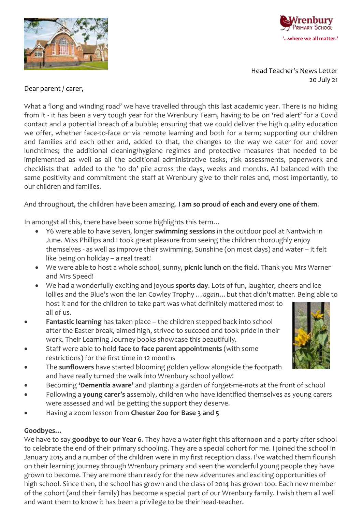



Head Teacher's News Letter 20 July 21

### Dear parent / carer,

What a 'long and winding road' we have travelled through this last academic year. There is no hiding from it - it has been a very tough year for the Wrenbury Team, having to be on 'red alert' for a Covid contact and a potential breach of a bubble; ensuring that we could deliver the high quality education we offer, whether face-to-face or via remote learning and both for a term; supporting our children and families and each other and, added to that, the changes to the way we cater for and cover lunchtimes; the additional cleaning/hygiene regimes and protective measures that needed to be implemented as well as all the additional administrative tasks, risk assessments, paperwork and checklists that added to the 'to do' pile across the days, weeks and months. All balanced with the same positivity and commitment the staff at Wrenbury give to their roles and, most importantly, to our children and families.

# And throughout, the children have been amazing. **I am so proud of each and every one of them**.

In amongst all this, there have been some highlights this term…

- Y6 were able to have seven, longer **swimming sessions** in the outdoor pool at Nantwich in June. Miss Phillips and I took great pleasure from seeing the children thoroughly enjoy themselves - as well as improve their swimming. Sunshine (on most days) and water – it felt like being on holiday – a real treat!
- We were able to host a whole school, sunny, **picnic lunch** on the field. Thank you Mrs Warner and Mrs Speed!
- We had a wonderfully exciting and joyous **sports day**. Lots of fun, laughter, cheers and ice lollies and the Blue's won the Ian Cowley Trophy …*again*…but that didn't matter. Being able to host it and for the children to take part was what definitely mattered most to all of us.
- **Fantastic learning** has taken place the children stepped back into school after the Easter break, aimed high, strived to succeed and took pride in their work. Their Learning Journey books showcase this beautifully.
- Staff were able to hold **face to face parent appointments** (with some restrictions) for the first time in 12 months
- The **sunflowers** have started blooming golden yellow alongside the footpath and have really turned the walk into Wrenbury school yellow!
- Becoming **'Dementia aware'** and planting a garden of forget-me-nots at the front of school
- Following a **young carer's** assembly, children who have identified themselves as young carers were assessed and will be getting the support they deserve.
- Having a zoom lesson from **Chester Zoo for Base 3 and 5**

### **Goodbyes…**

We have to say **goodbye to our Year 6**. They have a water fight this afternoon and a party after school to celebrate the end of their primary schooling. They are a special cohort for me. I joined the school in January 2015 and a number of the children were in my first reception class. I've watched them flourish on their learning journey through Wrenbury primary and seen the wonderful young people they have grown to become. They are more than ready for the new adventures and exciting opportunities of high school. Since then, the school has grown and the class of 2014 has grown too. Each new member of the cohort (and their family) has become a special part of our Wrenbury family. I wish them all well and want them to know it has been a privilege to be their head-teacher.